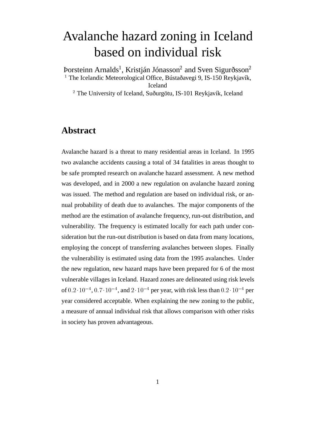# Avalanche hazard zoning in Iceland based on individual risk

Þorsteinn Arnalds<sup>1</sup>, Kristján Jónasson<sup>2</sup> and Sven Sigurðsson<sup>2</sup> <sup>1</sup> The Icelandic Meteorological Office, Bústaðavegi 9, IS-150 Reykjavík, Iceland  $2$  The University of Iceland, Suðurgötu, IS-101 Reykjavík, Iceland

# **Abstract**

Avalanche hazard is a threat to many residential areas in Iceland. In 1995 two avalanche accidents causing a total of 34 fatalities in areas thought to be safe prompted research on avalanche hazard assessment. A new method was developed, and in 2000 a new regulation on avalanche hazard zoning was issued. The method and regulation are based on individual risk, or annual probability of death due to avalanches. The major components of the method are the estimation of avalanche frequency, run-out distribution, and vulnerability. The frequency is estimated locally for each path under consideration but the run-out distribution is based on data from many locations, employing the concept of transferring avalanches between slopes. Finally the vulnerability is estimated using data from the 1995 avalanches. Under the new regulation, new hazard maps have been prepared for 6 of the most vulnerable villages in Iceland. Hazard zones are delineated using risk levels of  $0.2 \cdot 10^{-4}$ ,  $0.7 \cdot 10^{-4}$ , and  $2 \cdot 10^{-4}$  per year, with risk less than  $0.2 \cdot 10^{-4}$  per year considered acceptable. When explaining the new zoning to the public, a measure of annual individual risk that allows comparison with other risks in society has proven advantageous.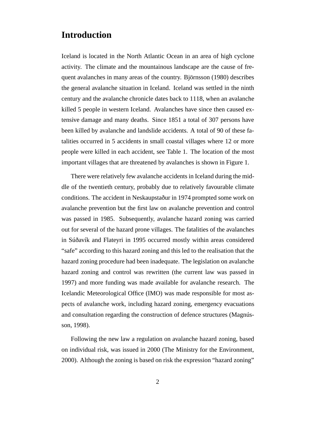## **Introduction**

Iceland is located in the North Atlantic Ocean in an area of high cyclone activity. The climate and the mountainous landscape are the cause of frequent avalanches in many areas of the country. Björnsson (1980) describes the general avalanche situation in Iceland. Iceland was settled in the ninth century and the avalanche chronicle dates back to 1118, when an avalanche killed 5 people in western Iceland. Avalanches have since then caused extensive damage and many deaths. Since 1851 a total of 307 persons have been killed by avalanche and landslide accidents. A total of 90 of these fatalities occurred in 5 accidents in small coastal villages where 12 or more people were killed in each accident, see Table 1. The location of the most important villages that are threatened by avalanches is shown in Figure 1.

There were relatively few avalanche accidents in Iceland during the middle of the twentieth century, probably due to relatively favourable climate conditions. The accident in Neskaupstaður in 1974 prompted some work on avalanche prevention but the first law on avalanche prevention and control was passed in 1985. Subsequently, avalanche hazard zoning was carried out for several of the hazard prone villages. The fatalities of the avalanches in Súðavík and Flateyri in 1995 occurred mostly within areas considered "safe" according to this hazard zoning and this led to the realisation that the hazard zoning procedure had been inadequate. The legislation on avalanche hazard zoning and control was rewritten (the current law was passed in 1997) and more funding was made available for avalanche research. The Icelandic Meteorological Office (IMO) was made responsible for most aspects of avalanche work, including hazard zoning, emergency evacuations and consultation regarding the construction of defence structures (Magnússon, 1998).

Following the new law a regulation on avalanche hazard zoning, based on individual risk, was issued in 2000 (The Ministry for the Environment, 2000). Although the zoning is based on risk the expression "hazard zoning"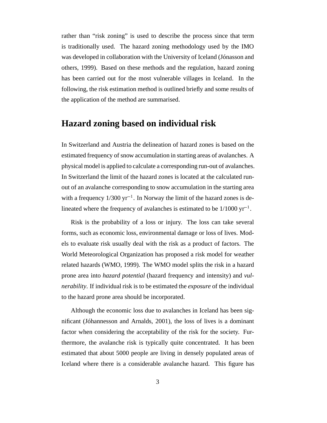rather than "risk zoning" is used to describe the process since that term is traditionally used. The hazard zoning methodology used by the IMO was developed in collaboration with the University of Iceland (Jónasson and others, 1999). Based on these methods and the regulation, hazard zoning has been carried out for the most vulnerable villages in Iceland. In the following, the risk estimation method is outlined briefly and some results of the application of the method are summarised.

## **Hazard zoning based on individual risk**

In Switzerland and Austria the delineation of hazard zones is based on the estimated frequency of snow accumulation in starting areas of avalanches. A physical model is applied to calculate a corresponding run-out of avalanches. In Switzerland the limit of the hazard zones is located at the calculated runout of an avalanche corresponding to snow accumulation in the starting area with a frequency  $1/300 \text{ yr}^{-1}$ . In Norway the limit of the hazard zones is delineated where the frequency of avalanches is estimated to be  $1/1000 \text{ yr}^{-1}$ .

Risk is the probability of a loss or injury. The loss can take several forms, such as economic loss, environmental damage or loss of lives. Models to evaluate risk usually deal with the risk as a product of factors. The World Meteorological Organization has proposed a risk model for weather related hazards (WMO, 1999). The WMO model splits the risk in a hazard prone area into *hazard potential* (hazard frequency and intensity) and *vulnerability*. If individual risk is to be estimated the *exposure* of the individual to the hazard prone area should be incorporated.

Although the economic loss due to avalanches in Iceland has been significant (Jóhannesson and Arnalds, 2001), the loss of lives is a dominant factor when considering the acceptability of the risk for the society. Furthermore, the avalanche risk is typically quite concentrated. It has been estimated that about 5000 people are living in densely populated areas of Iceland where there is a considerable avalanche hazard. This figure has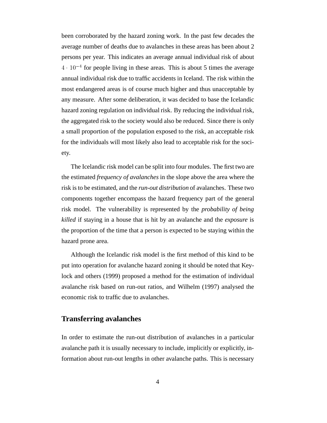been corroborated by the hazard zoning work. In the past few decades the average number of deaths due to avalanches in these areas has been about 2 persons per year. This indicates an average annual individual risk of about  $4 \cdot 10^{-4}$  for people living in these areas. This is about 5 times the average annual individual risk due to traffic accidents in Iceland. The risk within the most endangered areas is of course much higher and thus unacceptable by any measure. After some deliberation, it was decided to base the Icelandic hazard zoning regulation on individual risk. By reducing the individual risk, the aggregated risk to the society would also be reduced. Since there is only a small proportion of the population exposed to the risk, an acceptable risk for the individuals will most likely also lead to acceptable risk for the society.

The Icelandic risk model can be split into four modules. The first two are the estimated *frequency of avalanches* in the slope above the area where the risk is to be estimated, and the *run-out distribution* of avalanches. These two components together encompass the hazard frequency part of the general risk model. The vulnerability is represented by the *probability of being killed* if staying in a house that is hit by an avalanche and the *exposure* is the proportion of the time that a person is expected to be staying within the hazard prone area.

Although the Icelandic risk model is the first method of this kind to be put into operation for avalanche hazard zoning it should be noted that Keylock and others (1999) proposed a method for the estimation of individual avalanche risk based on run-out ratios, and Wilhelm (1997) analysed the economic risk to traffic due to avalanches.

### **Transferring avalanches**

In order to estimate the run-out distribution of avalanches in a particular avalanche path it is usually necessary to include, implicitly or explicitly, information about run-out lengths in other avalanche paths. This is necessary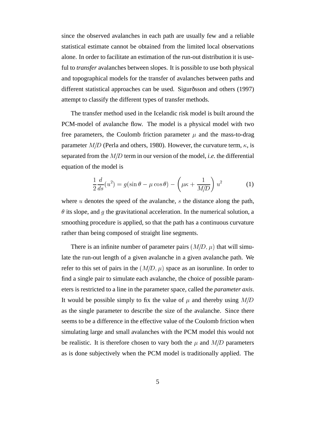since the observed avalanches in each path are usually few and a reliable statistical estimate cannot be obtained from the limited local observations alone. In order to facilitate an estimation of the run-out distribution it is useful to *transfer* avalanches between slopes. It is possible to use both physical and topographical models for the transfer of avalanches between paths and different statistical approaches can be used. Sigurðsson and others (1997) attempt to classify the different types of transfer methods.

The transfer method used in the Icelandic risk model is built around the PCM-model of avalanche flow. The model is a physical model with two free parameters, the Coulomb friction parameter  $\mu$  and the mass-to-drag parameter  $M/D$  (Perla and others, 1980). However, the curvature term,  $\kappa$ , is separated from the  $M/D$  term in our version of the model, *i.e.* the differential equation of the model is

$$
\frac{1}{2}\frac{d}{ds}(u^2) = g(\sin\theta - \mu\cos\theta) - \left(\mu\kappa + \frac{1}{M/D}\right)u^2\tag{1}
$$

where  $u$  denotes the speed of the avalanche,  $s$  the distance along the path,  $\theta$  its slope, and g the gravitational acceleration. In the numerical solution, a smoothing procedure is applied, so that the path has a continuous curvature rather than being composed of straight line segments.

There is an infinite number of parameter pairs  $(M/D, \mu)$  that will simulate the run-out length of a given avalanche in a given avalanche path. We refer to this set of pairs in the  $(M/D, \mu)$  space as an isorunline. In order to find a single pair to simulate each avalanche, the choice of possible parameters is restricted to a line in the parameter space, called the *parameter axis*. It would be possible simply to fix the value of  $\mu$  and thereby using  $M/D$ as the single parameter to describe the size of the avalanche. Since there seems to be a difference in the effective value of the Coulomb friction when simulating large and small avalanches with the PCM model this would not be realistic. It is therefore chosen to vary both the  $\mu$  and  $M/D$  parameters as is done subjectively when the PCM model is traditionally applied. The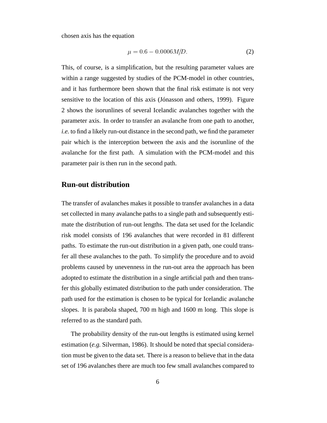chosen axis has the equation

$$
\mu = 0.6 - 0.0006 M/D. \tag{2}
$$

This, of course, is a simplification, but the resulting parameter values are within a range suggested by studies of the PCM-model in other countries, and it has furthermore been shown that the final risk estimate is not very sensitive to the location of this axis (Jónasson and others, 1999). Figure 2 shows the isorunlines of several Icelandic avalanches together with the parameter axis. In order to transfer an avalanche from one path to another, *i.e.* to find a likely run-out distance in the second path, we find the parameter pair which is the interception between the axis and the isorunline of the avalanche for the first path. A simulation with the PCM-model and this parameter pair is then run in the second path.

#### **Run-out distribution**

The transfer of avalanches makes it possible to transfer avalanches in a data set collected in many avalanche paths to a single path and subsequently estimate the distribution of run-out lengths. The data set used for the Icelandic risk model consists of 196 avalanches that were recorded in 81 different paths. To estimate the run-out distribution in a given path, one could transfer all these avalanches to the path. To simplify the procedure and to avoid problems caused by unevenness in the run-out area the approach has been adopted to estimate the distribution in a single artificial path and then transfer this globally estimated distribution to the path under consideration. The path used for the estimation is chosen to be typical for Icelandic avalanche slopes. It is parabola shaped, 700 m high and 1600 m long. This slope is referred to as the standard path.

The probability density of the run-out lengths is estimated using kernel estimation (*e.g.* Silverman, 1986). It should be noted that special consideration must be given to the data set. There is a reason to believe that in the data set of 196 avalanches there are much too few small avalanches compared to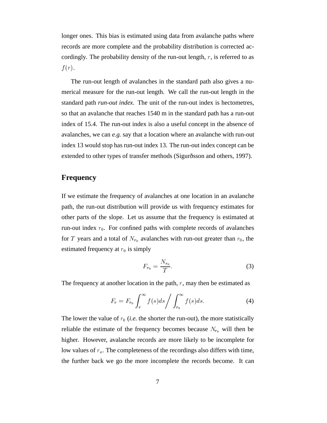longer ones. This bias is estimated using data from avalanche paths where records are more complete and the probability distribution is corrected accordingly. The probability density of the run-out length,  $r$ , is referred to as  $f(r)$ .

The run-out length of avalanches in the standard path also gives a numerical measure for the run-out length. We call the run-out length in the standard path *run-out index*. The unit of the run-out index is hectometres, so that an avalanche that reaches 1540 m in the standard path has a run-out index of 15.4. The run-out index is also a useful concept in the absence of avalanches, we can *e.g.* say that a location where an avalanche with run-out index 13 would stop has run-out index 13. The run-out index concept can be extended to other types of transfer methods (Sigurðsson and others, 1997).

## **Frequency**

If we estimate the frequency of avalanches at one location in an avalanche path, the run-out distribution will provide us with frequency estimates for other parts of the slope. Let us assume that the frequency is estimated at run-out index  $r_0$ . For confined paths with complete records of avalanches for T years and a total of  $N_{r_0}$  avalanches with run-out greater than  $r_0$ , the estimated frequency at  $r_0$  is simply

$$
F_{r_0} = \frac{N_{r_0}}{T}.\tag{3}
$$

The frequency at another location in the path,  $r$ , may then be estimated as

$$
F_r = F_{r_0} \int_r^{\infty} f(s)ds \Bigg/ \int_{r_0}^{\infty} f(s)ds.
$$
 (4)

The lower the value of  $r_0$  (*i.e.* the shorter the run-out), the more statistically reliable the estimate of the frequency becomes because  $N_{r_0}$  will then be higher. However, avalanche records are more likely to be incomplete for low values of  $r<sub>o</sub>$ . The completeness of the recordings also differs with time, the further back we go the more incomplete the records become. It can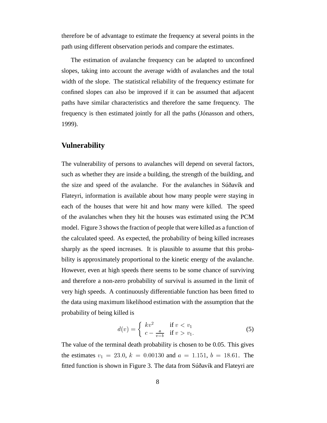therefore be of advantage to estimate the frequency at several points in the path using different observation periods and compare the estimates.

The estimation of avalanche frequency can be adapted to unconfined slopes, taking into account the average width of avalanches and the total width of the slope. The statistical reliability of the frequency estimate for confined slopes can also be improved if it can be assumed that adjacent paths have similar characteristics and therefore the same frequency. The frequency is then estimated jointly for all the paths (Jónasson and others, 1999).

#### **Vulnerability**

The vulnerability of persons to avalanches will depend on several factors, such as whether they are inside a building, the strength of the building, and the size and speed of the avalanche. For the avalanches in Súðavík and Flateyri, information is available about how many people were staying in each of the houses that were hit and how many were killed. The speed of the avalanches when they hit the houses was estimated using the PCM model. Figure 3 shows the fraction of people that were killed as a function of the calculated speed. As expected, the probability of being killed increases sharply as the speed increases. It is plausible to assume that this probability is approximately proportional to the kinetic energy of the avalanche. However, even at high speeds there seems to be some chance of surviving and therefore a non-zero probability of survival is assumed in the limit of very high speeds. A continuously differentiable function has been fitted to the data using maximum likelihood estimation with the assumption that the probability of being killed is

$$
d(v) = \begin{cases} kv^2 & \text{if } v < v_1 \\ c - \frac{a}{v - b} & \text{if } v > v_1. \end{cases}
$$
 (5)

The value of the terminal death probability is chosen to be 0.05. This gives the estimates  $v_1 = 23.0, k = 0.00130$  and  $a = 1.151, b = 18.61$ . The fitted function is shown in Figure 3. The data from Súðavík and Flateyri are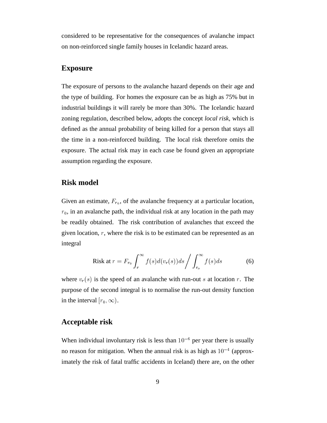considered to be representative for the consequences of avalanche impact on non-reinforced single family houses in Icelandic hazard areas.

#### **Exposure**

The exposure of persons to the avalanche hazard depends on their age and the type of building. For homes the exposure can be as high as 75% but in industrial buildings it will rarely be more than 30%. The Icelandic hazard zoning regulation, described below, adopts the concept *local risk*, which is defined as the annual probability of being killed for a person that stays all the time in a non-reinforced building. The local risk therefore omits the exposure. The actual risk may in each case be found given an appropriate assumption regarding the exposure.

#### **Risk model**

Given an estimate,  $F_{r_0}$ , of the avalanche frequency at a particular location,  $r_0$ , in an avalanche path, the individual risk at any location in the path may be readily obtained. The risk contribution of avalanches that exceed the given location, <sup>r</sup>, where the risk is to be estimated can be represented as an integral

Risk at 
$$
r = F_{r_0} \int_r^{\infty} f(s) d(v_r(s)) ds / \int_{r_o}^{\infty} f(s) ds
$$
 (6)

where  $v_r(s)$  is the speed of an avalanche with run-out s at location r. The purpose of the second integral is to normalise the run-out density function in the interval  $[r_0, \infty)$ .

## **Acceptable risk**

When individual involuntary risk is less than  $10^{-6}$  per year there is usually no reason for mitigation. When the annual risk is as high as  $10^{-4}$  (approximately the risk of fatal traffic accidents in Iceland) there are, on the other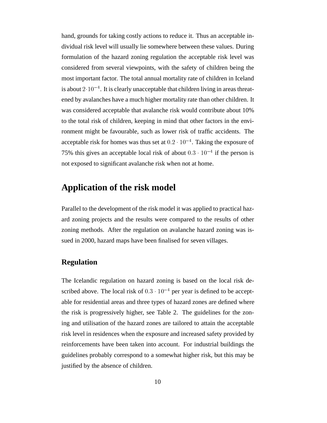hand, grounds for taking costly actions to reduce it. Thus an acceptable individual risk level will usually lie somewhere between these values. During formulation of the hazard zoning regulation the acceptable risk level was considered from several viewpoints, with the safety of children being the most important factor. The total annual mortality rate of children in Iceland is about  $2\cdot 10^{-4}$ . It is clearly unacceptable that children living in areas threatened by avalanches have a much higher mortality rate than other children. It was considered acceptable that avalanche risk would contribute about 10% to the total risk of children, keeping in mind that other factors in the environment might be favourable, such as lower risk of traffic accidents. The acceptable risk for homes was thus set at  $0.2 \cdot 10^{-4}$ . Taking the exposure of 75% this gives an acceptable local risk of about  $0.3 \cdot 10^{-4}$  if the person is not exposed to significant avalanche risk when not at home.

# **Application of the risk model**

Parallel to the development of the risk model it was applied to practical hazard zoning projects and the results were compared to the results of other zoning methods. After the regulation on avalanche hazard zoning was issued in 2000, hazard maps have been finalised for seven villages.

## **Regulation**

The Icelandic regulation on hazard zoning is based on the local risk described above. The local risk of  $0.3 \cdot 10^{-4}$  per year is defined to be acceptable for residential areas and three types of hazard zones are defined where the risk is progressively higher, see Table 2. The guidelines for the zoning and utilisation of the hazard zones are tailored to attain the acceptable risk level in residences when the exposure and increased safety provided by reinforcements have been taken into account. For industrial buildings the guidelines probably correspond to a somewhat higher risk, but this may be justified by the absence of children.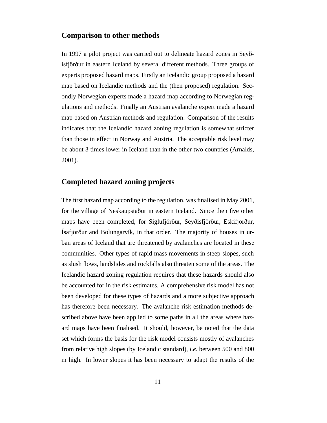#### **Comparison to other methods**

In 1997 a pilot project was carried out to delineate hazard zones in Seyðisfjörður in eastern Iceland by several different methods. Three groups of experts proposed hazard maps. Firstly an Icelandic group proposed a hazard map based on Icelandic methods and the (then proposed) regulation. Secondly Norwegian experts made a hazard map according to Norwegian regulations and methods. Finally an Austrian avalanche expert made a hazard map based on Austrian methods and regulation. Comparison of the results indicates that the Icelandic hazard zoning regulation is somewhat stricter than those in effect in Norway and Austria. The acceptable risk level may be about 3 times lower in Iceland than in the other two countries (Arnalds, 2001).

#### **Completed hazard zoning projects**

The first hazard map according to the regulation, was finalised in May 2001, for the village of Neskaupstaður in eastern Iceland. Since then five other maps have been completed, for Siglufjörður, Seyðisfjörður, Eskifjörður, Ísafjörður and Bolungarvík, in that order. The majority of houses in urban areas of Iceland that are threatened by avalanches are located in these communities. Other types of rapid mass movements in steep slopes, such as slush flows, landslides and rockfalls also threaten some of the areas. The Icelandic hazard zoning regulation requires that these hazards should also be accounted for in the risk estimates. A comprehensive risk model has not been developed for these types of hazards and a more subjective approach has therefore been necessary. The avalanche risk estimation methods described above have been applied to some paths in all the areas where hazard maps have been finalised. It should, however, be noted that the data set which forms the basis for the risk model consists mostly of avalanches from relative high slopes (by Icelandic standard), *i.e.* between 500 and 800 m high. In lower slopes it has been necessary to adapt the results of the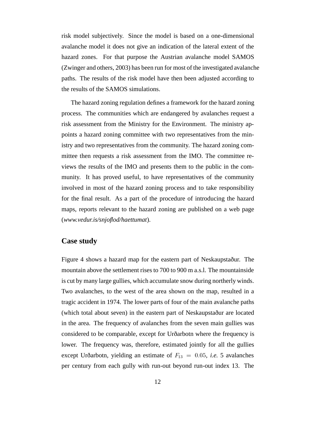risk model subjectively. Since the model is based on a one-dimensional avalanche model it does not give an indication of the lateral extent of the hazard zones. For that purpose the Austrian avalanche model SAMOS (Zwinger and others, 2003) has been run for most of the investigated avalanche paths. The results of the risk model have then been adjusted according to the results of the SAMOS simulations.

The hazard zoning regulation defines a framework for the hazard zoning process. The communities which are endangered by avalanches request a risk assessment from the Ministry for the Environment. The ministry appoints a hazard zoning committee with two representatives from the ministry and two representatives from the community. The hazard zoning committee then requests a risk assessment from the IMO. The committee reviews the results of the IMO and presents them to the public in the community. It has proved useful, to have representatives of the community involved in most of the hazard zoning process and to take responsibility for the final result. As a part of the procedure of introducing the hazard maps, reports relevant to the hazard zoning are published on a web page (*www.vedur.is/snjoflod/haettumat*).

## **Case study**

Figure 4 shows a hazard map for the eastern part of Neskaupstaður. The mountain above the settlement rises to 700 to 900 m a.s.l. The mountainside is cut by many large gullies, which accumulate snow during northerly winds. Two avalanches, to the west of the area shown on the map, resulted in a tragic accident in 1974. The lower parts of four of the main avalanche paths (which total about seven) in the eastern part of Neskaupstaður are located in the area. The frequency of avalanches from the seven main gullies was considered to be comparable, except for Urðarbotn where the frequency is lower. The frequency was, therefore, estimated jointly for all the gullies except Urðarbotn, yielding an estimate of  $F_{13} = 0.05$ , *i.e.* 5 avalanches per century from each gully with run-out beyond run-out index 13. The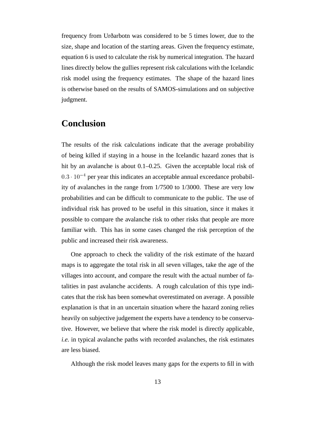frequency from Urðarbotn was considered to be 5 times lower, due to the size, shape and location of the starting areas. Given the frequency estimate, equation 6 is used to calculate the risk by numerical integration. The hazard lines directly below the gullies represent risk calculations with the Icelandic risk model using the frequency estimates. The shape of the hazard lines is otherwise based on the results of SAMOS-simulations and on subjective judgment.

# **Conclusion**

The results of the risk calculations indicate that the average probability of being killed if staying in a house in the Icelandic hazard zones that is hit by an avalanche is about 0.1–0.25. Given the acceptable local risk of  $0.3 \cdot 10^{-4}$  per year this indicates an acceptable annual exceedance probability of avalanches in the range from 1/7500 to 1/3000. These are very low probabilities and can be difficult to communicate to the public. The use of individual risk has proved to be useful in this situation, since it makes it possible to compare the avalanche risk to other risks that people are more familiar with. This has in some cases changed the risk perception of the public and increased their risk awareness.

One approach to check the validity of the risk estimate of the hazard maps is to aggregate the total risk in all seven villages, take the age of the villages into account, and compare the result with the actual number of fatalities in past avalanche accidents. A rough calculation of this type indicates that the risk has been somewhat overestimated on average. A possible explanation is that in an uncertain situation where the hazard zoning relies heavily on subjective judgement the experts have a tendency to be conservative. However, we believe that where the risk model is directly applicable, *i.e.* in typical avalanche paths with recorded avalanches, the risk estimates are less biased.

Although the risk model leaves many gaps for the experts to fill in with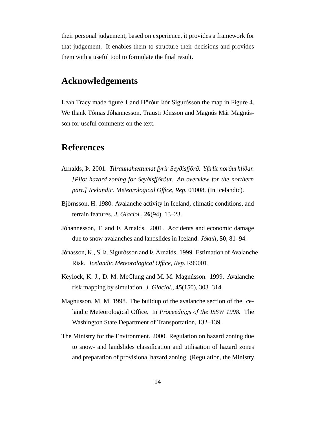their personal judgement, based on experience, it provides a framework for that judgement. It enables them to structure their decisions and provides them with a useful tool to formulate the final result.

## **Acknowledgements**

Leah Tracy made figure 1 and Hörður Þór Sigurðsson the map in Figure 4. We thank Tómas Jóhannesson, Trausti Jónsson and Magnús Már Magnússon for useful comments on the text.

## **References**

- Arnalds, Þ. 2001. *Tilraunahættumat fyrir Seyðisfjörð. Yfirlit norðurhlíðar. [Pilot hazard zoning for Seyðisfjörður. An overview for the northern part.] Icelandic. Meteorological Office, Rep.* 01008. (In Icelandic).
- Björnsson, H. 1980. Avalanche activity in Iceland, climatic conditions, and terrain features. *J. Glaciol.*, **26**(94), 13–23.
- Jóhannesson, T. and Þ. Arnalds. 2001. Accidents and economic damage due to snow avalanches and landslides in Iceland. *Jökull*, **50**, 81–94.
- Jónasson, K., S. Þ. Sigurðsson and Þ. Arnalds. 1999. Estimation of Avalanche Risk. *Icelandic Meteorological Office, Rep.* R99001.
- Keylock, K. J., D. M. McClung and M. M. Magnússon. 1999. Avalanche risk mapping by simulation. *J. Glaciol.*, **45**(150), 303–314.
- Magnússon, M. M. 1998. The buildup of the avalanche section of the Icelandic Meteorological Office. In *Proceedings of the ISSW 1998.* The Washington State Department of Transportation, 132–139.
- The Ministry for the Environment. 2000. Regulation on hazard zoning due to snow- and landslides classification and utilisation of hazard zones and preparation of provisional hazard zoning. (Regulation, the Ministry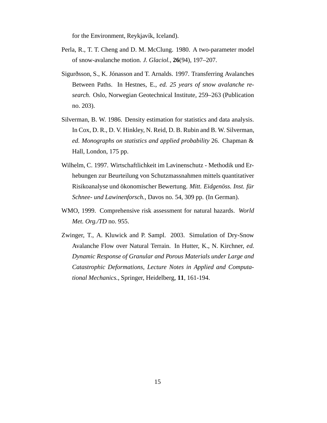for the Environment, Reykjavík, Iceland).

- Perla, R., T. T. Cheng and D. M. McClung. 1980. A two-parameter model of snow-avalanche motion. *J. Glaciol.*, **26**(94), 197–207.
- Sigurðsson, S., K. Jónasson and T. Arnalds. 1997. Transferring Avalanches Between Paths. In Hestnes, E., *ed. 25 years of snow avalanche research.* Oslo, Norwegian Geotechnical Institute, 259–263 (Publication no. 203).
- Silverman, B. W. 1986. Density estimation for statistics and data analysis. In Cox, D. R., D. V. Hinkley, N. Reid, D. B. Rubin and B. W. Silverman, *ed. Monographs on statistics and applied probability* 26. Chapman & Hall, London, 175 pp.
- Wilhelm, C. 1997. Wirtschaftlichkeit im Lavinenschutz Methodik und Erhebungen zur Beurteilung von Schutzmassnahmen mittels quantitativer Risikoanalyse und ökonomischer Bewertung. *Mitt. Eidgenöss. Inst. für Schnee- und Lawinenforsch.*, Davos no. 54, 309 pp. (In German).
- WMO, 1999. Comprehensive risk assessment for natural hazards. *World Met. Org./TD* no. 955.
- Zwinger, T., A. Kluwick and P. Sampl. 2003. Simulation of Dry-Snow Avalanche Flow over Natural Terrain. In Hutter, K., N. Kirchner, *ed. Dynamic Response of Granular and Porous Materials under Large and Catastrophic Deformations, Lecture Notes in Applied and Computational Mechanics.*, Springer, Heidelberg, **11**, 161-194.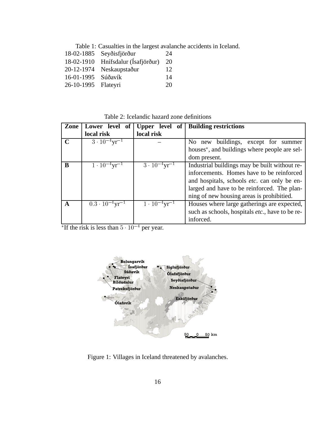Table 1: Casualties in the largest avalanche accidents in Iceland.

|            | 18-02-1885 Seyðisfjörður | 24 |
|------------|--------------------------|----|
| 18-02-1910 | Hnífsdalur (Ísafjörður)  | 20 |
| 20-12-1974 | Neskaupstaður            | 12 |
| 16-01-1995 | Súðavík                  | 14 |
| 26-10-1995 | Flateyri                 | 20 |

Table 2: Icelandic hazard zone definitions

| Zone        | Lower<br>level<br>of                 | Upper level of                     | <b>Building restrictions</b>                              |  |
|-------------|--------------------------------------|------------------------------------|-----------------------------------------------------------|--|
|             | local risk                           | local risk                         |                                                           |  |
| $\mathbf C$ | $3 \cdot 10^{-4}$ yr <sup>-1</sup>   |                                    | buildings, except for summer<br>No new                    |  |
|             |                                      |                                    | houses <sup>*</sup> , and buildings where people are sel- |  |
|             |                                      |                                    | dom present.                                              |  |
| B           | $1 \cdot 10^{-4}$ yr <sup>-1</sup>   | $3 \cdot 10^{-4}$ yr <sup>-1</sup> | Industrial buildings may be built without re-             |  |
|             |                                      |                                    | inforcements. Homes have to be reinforced                 |  |
|             |                                      |                                    | and hospitals, schools <i>etc</i> . can only be en-       |  |
|             |                                      |                                    | larged and have to be reinforced. The plan-               |  |
|             |                                      |                                    | ning of new housing areas is prohibitied.                 |  |
| A           | $0.3 \cdot 10^{-4}$ yr <sup>-1</sup> | $1 \cdot 10^{-4}$ yr <sup>-1</sup> | Houses where large gatherings are expected,               |  |
|             |                                      |                                    | such as schools, hospitals <i>etc.</i> , have to be re-   |  |
|             |                                      |                                    | inforced.                                                 |  |

<sup>\*</sup>If the risk is less than  $5 \cdot 10^{-4}$  per year.



Figure 1: Villages in Iceland threatened by avalanches.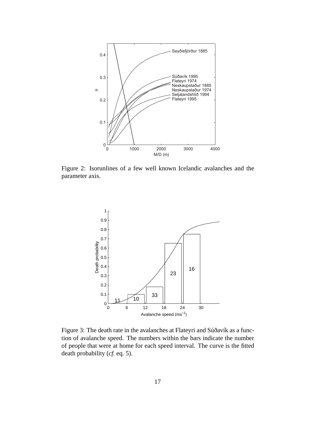

Figure 2: Isorunlines of a few well known Icelandic avalanches and the parameter axis.



Figure 3: The death rate in the avalanches at Flateyri and Súðavík as a function of avalanche speed. The numbers within the bars indicate the number of people that were at home for each speed interval. The curve is the fitted death probability (*cf.* eq. 5).